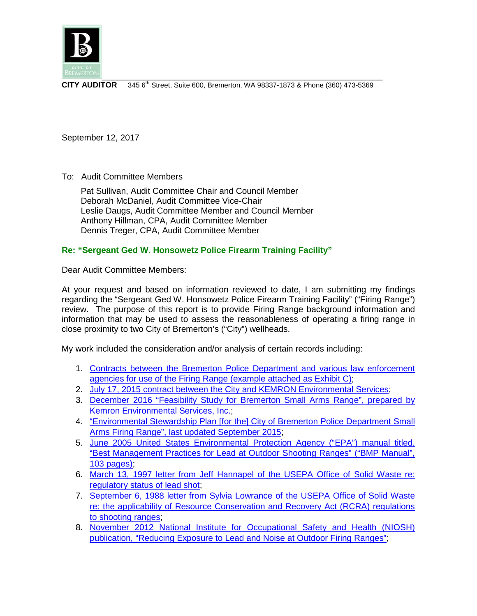

**CITY AUDITOR** 345 6<sup>th</sup> Street, Suite 600, Bremerton, WA 98337-1873 & Phone (360) 473-5369

September 12, 2017

To: Audit Committee Members

 Pat Sullivan, Audit Committee Chair and Council Member Deborah McDaniel, Audit Committee Vice-Chair Leslie Daugs, Audit Committee Member and Council Member Anthony Hillman, CPA, Audit Committee Member Dennis Treger, CPA, Audit Committee Member

# **Re: "Sergeant Ged W. Honsowetz Police Firearm Training Facility"**

Dear Audit Committee Members:

At your request and based on information reviewed to date, I am submitting my findings regarding the "Sergeant Ged W. Honsowetz Police Firearm Training Facility" ("Firing Range") review. The purpose of this report is to provide Firing Range background information and information that may be used to assess the reasonableness of operating a firing range in close proximity to two City of Bremerton's ("City") wellheads.

My work included the consideration and/or analysis of certain records including:

- 1. [Contracts between the Bremerton Police Department](http://www.bremertonwa.gov/DocumentCenter/View/5381) and various law enforcement [agencies for use of the Firing Range](http://www.bremertonwa.gov/DocumentCenter/View/5381) (example attached as Exhibit C);
- 2. [July 17, 2015 contract between the City and KEMRON Environmental Services;](http://www.bremertonwa.gov/DocumentCenter/View/5382)
- 3. [December 2016 "Feasibility Study for Bremerton Small Arms Range",](http://www.bremertonwa.gov/DocumentCenter/View/5383) prepared by [Kemron Environmental Services, Inc.;](http://www.bremertonwa.gov/DocumentCenter/View/5383)
- 4. ["Environmental Stewardship Plan](http://www.bremertonwa.gov/DocumentCenter/View/5384) [for the] City of Bremerton Police Department Small [Arms Firing Range", last updated September 2015;](http://www.bremertonwa.gov/DocumentCenter/View/5384)
- 5. [June 2005 United States Environmental Protection Agency \("EPA"\) manual titled,](http://www.bremertonwa.gov/DocumentCenter/View/5385)  ["Best Management Practices for Lead at Outdoor Shooting Ranges"](http://www.bremertonwa.gov/DocumentCenter/View/5385) ("BMP Manual", [103 pages\);](http://www.bremertonwa.gov/DocumentCenter/View/5385)
- 6. [March 13, 1997 letter from Jeff Hannapel of the USEPA Office of Solid Waste re:](http://www.bremertonwa.gov/DocumentCenter/View/5369)  [regulatory status of lead shot;](http://www.bremertonwa.gov/DocumentCenter/View/5369)
- 7. [September 6, 1988 letter from Sylvia Lowrance of the USEPA](http://www.bremertonwa.gov/DocumentCenter/View/5370) Office of Solid Waste [re: the applicability of Resource Conservation and Recovery Act \(RCRA\) regulations](http://www.bremertonwa.gov/DocumentCenter/View/5370)  [to shooting ranges;](http://www.bremertonwa.gov/DocumentCenter/View/5370)
- 8. [November 2012 National Institute for Occupational Safety and Health \(NIOSH\)](http://www.bremertonwa.gov/DocumentCenter/View/5371)  [publication, "Reducing Exposure to Lead and Noise at Outdoor Firing Ranges";](http://www.bremertonwa.gov/DocumentCenter/View/5371)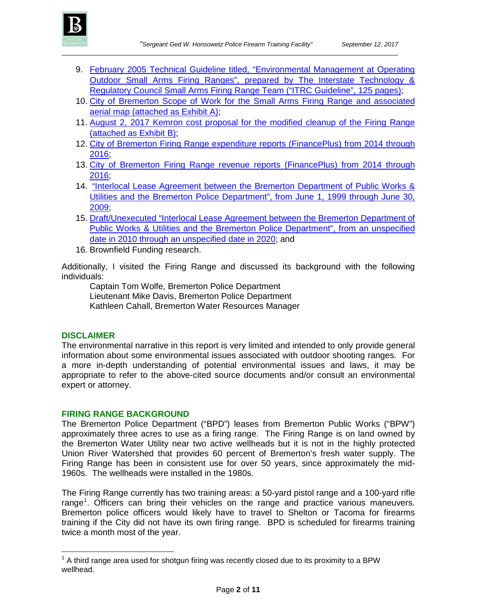

- 9. [February 2005 Technical Guideline titled, "Environmental Management at Operating](http://www.bremertonwa.gov/DocumentCenter/View/5372)  [Outdoor Small Arms Firing Ranges", prepared by The Interstate Technology &](http://www.bremertonwa.gov/DocumentCenter/View/5372)  [Regulatory Council Small Arms Firing Range Team \("ITRC Guideline", 125 pages\);](http://www.bremertonwa.gov/DocumentCenter/View/5372)
- 10. [City of Bremerton Scope of Work for the Small Arms Firing Range](http://www.bremertonwa.gov/DocumentCenter/View/5373) and associated aerial map [\(attached as Exhibit A\);](http://www.bremertonwa.gov/DocumentCenter/View/5373)
- 11. [August 2, 2017 Kemron cost proposal for the modified cleanup of the Firing Range](http://www.bremertonwa.gov/DocumentCenter/View/5374)  [\(attached as Exhibit B\);](http://www.bremertonwa.gov/DocumentCenter/View/5374)
- 12. [City of Bremerton Firing Range expenditure reports \(FinancePlus\) from 2014 through](http://www.bremertonwa.gov/DocumentCenter/View/5375) [2016;](http://www.bremertonwa.gov/DocumentCenter/View/5375)
- 13. City of Bremerton Firing Range revenue reports (FinancePlus) from 2014 through [2016;](http://www.bremertonwa.gov/DocumentCenter/View/5376)
- 14. "Interlocal Lease Agreement [between the Bremerton Department of Public Works &](http://www.bremertonwa.gov/DocumentCenter/View/5377)  [Utilities and the Bremerton Police Department", from June 1, 1999 through June 30,](http://www.bremertonwa.gov/DocumentCenter/View/5377)  [2009;](http://www.bremertonwa.gov/DocumentCenter/View/5377)
- 15. [Draft/Unexecuted "Interlocal Lease Agreement between](http://www.bremertonwa.gov/DocumentCenter/View/5377) the Bremerton Department of [Public Works & Utilities and the Bremerton Police Department", from an unspecified](http://www.bremertonwa.gov/DocumentCenter/View/5377)  [date in 2010 through an unspecified date in 2020;](http://www.bremertonwa.gov/DocumentCenter/View/5377) and
- 16. Brownfield Funding research.

Additionally, I visited the Firing Range and discussed its background with the following individuals:

Captain Tom Wolfe, Bremerton Police Department Lieutenant Mike Davis, Bremerton Police Department Kathleen Cahall, Bremerton Water Resources Manager

### **DISCLAIMER**

The environmental narrative in this report is very limited and intended to only provide general information about some environmental issues associated with outdoor shooting ranges. For a more in-depth understanding of potential environmental issues and laws, it may be appropriate to refer to the above-cited source documents and/or consult an environmental expert or attorney.

### **FIRING RANGE BACKGROUND**

The Bremerton Police Department ("BPD") leases from Bremerton Public Works ("BPW") approximately three acres to use as a firing range. The Firing Range is on land owned by the Bremerton Water Utility near two active wellheads but it is not in the highly protected Union River Watershed that provides 60 percent of Bremerton's fresh water supply. The Firing Range has been in consistent use for over 50 years, since approximately the mid-1960s. The wellheads were installed in the 1980s.

The Firing Range currently has two training areas: a 50-yard pistol range and a 100-yard rifle range<sup>[1](#page-1-0)</sup>. Officers can bring their vehicles on the range and practice various maneuvers. Bremerton police officers would likely have to travel to Shelton or Tacoma for firearms training if the City did not have its own firing range. BPD is scheduled for firearms training twice a month most of the year.

<span id="page-1-0"></span> $1$  A third range area used for shotgun firing was recently closed due to its proximity to a BPW wellhead.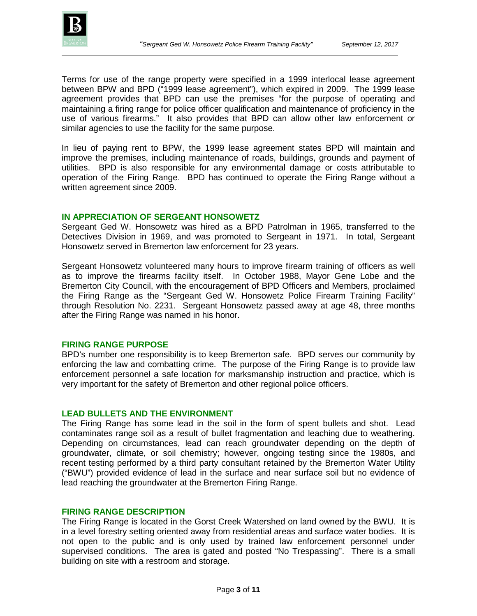

Terms for use of the range property were specified in a 1999 interlocal lease agreement between BPW and BPD ("1999 lease agreement"), which expired in 2009. The 1999 lease agreement provides that BPD can use the premises "for the purpose of operating and maintaining a firing range for police officer qualification and maintenance of proficiency in the use of various firearms." It also provides that BPD can allow other law enforcement or similar agencies to use the facility for the same purpose.

In lieu of paying rent to BPW, the 1999 lease agreement states BPD will maintain and improve the premises, including maintenance of roads, buildings, grounds and payment of utilities. BPD is also responsible for any environmental damage or costs attributable to operation of the Firing Range. BPD has continued to operate the Firing Range without a written agreement since 2009.

#### **IN APPRECIATION OF SERGEANT HONSOWETZ**

Sergeant Ged W. Honsowetz was hired as a BPD Patrolman in 1965, transferred to the Detectives Division in 1969, and was promoted to Sergeant in 1971. In total, Sergeant Honsowetz served in Bremerton law enforcement for 23 years.

Sergeant Honsowetz volunteered many hours to improve firearm training of officers as well as to improve the firearms facility itself. In October 1988, Mayor Gene Lobe and the Bremerton City Council, with the encouragement of BPD Officers and Members, proclaimed the Firing Range as the "Sergeant Ged W. Honsowetz Police Firearm Training Facility" through Resolution No. 2231. Sergeant Honsowetz passed away at age 48, three months after the Firing Range was named in his honor.

### **FIRING RANGE PURPOSE**

BPD's number one responsibility is to keep Bremerton safe. BPD serves our community by enforcing the law and combatting crime. The purpose of the Firing Range is to provide law enforcement personnel a safe location for marksmanship instruction and practice, which is very important for the safety of Bremerton and other regional police officers.

## **LEAD BULLETS AND THE ENVIRONMENT**

The Firing Range has some lead in the soil in the form of spent bullets and shot. Lead contaminates range soil as a result of bullet fragmentation and leaching due to weathering. Depending on circumstances, lead can reach groundwater depending on the depth of groundwater, climate, or soil chemistry; however, ongoing testing since the 1980s, and recent testing performed by a third party consultant retained by the Bremerton Water Utility ("BWU") provided evidence of lead in the surface and near surface soil but no evidence of lead reaching the groundwater at the Bremerton Firing Range.

#### **FIRING RANGE DESCRIPTION**

The Firing Range is located in the Gorst Creek Watershed on land owned by the BWU. It is in a level forestry setting oriented away from residential areas and surface water bodies. It is not open to the public and is only used by trained law enforcement personnel under supervised conditions. The area is gated and posted "No Trespassing". There is a small building on site with a restroom and storage.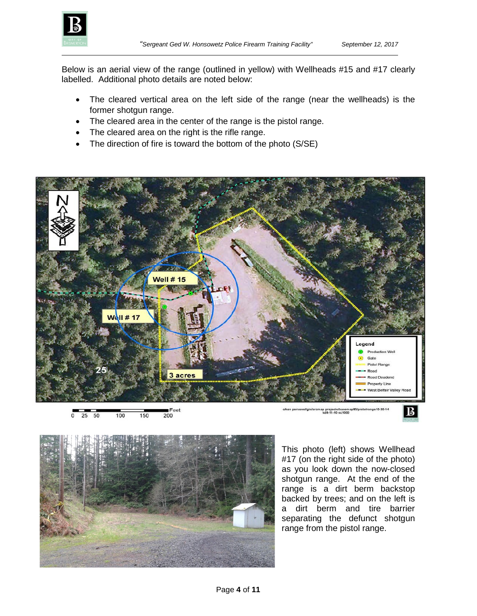

Below is an aerial view of the range (outlined in yellow) with Wellheads #15 and #17 clearly labelled. Additional photo details are noted below:

- The cleared vertical area on the left side of the range (near the wellheads) is the former shotgun range.
- The cleared area in the center of the range is the pistol range.
- The cleared area on the right is the rifle range.
- The direction of fire is toward the bottom of the photo (S/SE)



 $\overline{\circ}$ 50 150 200 25 100

nge10-20-14 p projects/basem:<br>kd8-11-10 sc1000



This photo (left) shows Wellhead #17 (on the right side of the photo) as you look down the now-closed shotgun range. At the end of the range is a dirt berm backstop backed by trees; and on the left is a dirt berm and tire barrier separating the defunct shotgun range from the pistol range.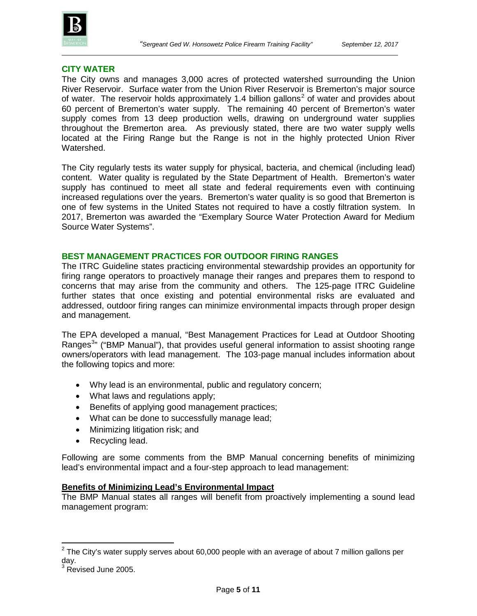

### **CITY WATER**

The City owns and manages 3,000 acres of protected watershed surrounding the Union River Reservoir. Surface water from the Union River Reservoir is Bremerton's major source of water. The reservoir holds approximately 1.4 billion gallons<sup>[2](#page-4-0)</sup> of water and provides about 60 percent of Bremerton's water supply. The remaining 40 percent of Bremerton's water supply comes from 13 deep production wells, drawing on underground water supplies throughout the Bremerton area. As previously stated, there are two water supply wells located at the Firing Range but the Range is not in the highly protected Union River Watershed.

The City regularly tests its water supply for physical, bacteria, and chemical (including lead) content. Water quality is regulated by the State Department of Health. Bremerton's water supply has continued to meet all state and federal requirements even with continuing increased regulations over the years. Bremerton's water quality is so good that Bremerton is one of few systems in the United States not required to have a costly filtration system. In 2017, Bremerton was awarded the "Exemplary Source Water Protection Award for Medium Source Water Systems".

#### **BEST MANAGEMENT PRACTICES FOR OUTDOOR FIRING RANGES**

The ITRC Guideline states practicing environmental stewardship provides an opportunity for firing range operators to proactively manage their ranges and prepares them to respond to concerns that may arise from the community and others. The 125-page ITRC Guideline further states that once existing and potential environmental risks are evaluated and addressed, outdoor firing ranges can minimize environmental impacts through proper design and management.

The EPA developed a manual, "Best Management Practices for Lead at Outdoor Shooting Ranges<sup>[3](#page-4-1)</sup>" ("BMP Manual"), that provides useful general information to assist shooting range owners/operators with lead management. The 103-page manual includes information about the following topics and more:

- Why lead is an environmental, public and regulatory concern;
- What laws and regulations apply;
- Benefits of applying good management practices;
- What can be done to successfully manage lead;
- Minimizing litigation risk; and
- Recycling lead.

Following are some comments from the BMP Manual concerning benefits of minimizing lead's environmental impact and a four-step approach to lead management:

#### **Benefits of Minimizing Lead's Environmental Impact**

The BMP Manual states all ranges will benefit from proactively implementing a sound lead management program:

<span id="page-4-0"></span> $2$  The City's water supply serves about 60,000 people with an average of about 7 million gallons per day.

<span id="page-4-1"></span>Revised June 2005.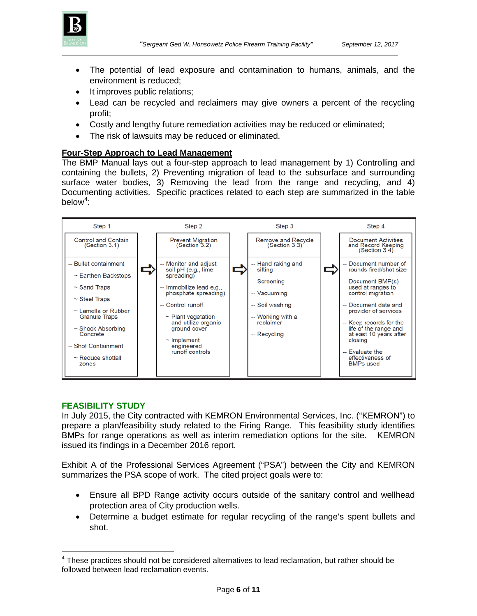

- The potential of lead exposure and contamination to humans, animals, and the environment is reduced;
- It improves public relations;
- Lead can be recycled and reclaimers may give owners a percent of the recycling profit;
- Costly and lengthy future remediation activities may be reduced or eliminated;
- The risk of lawsuits may be reduced or eliminated.

### **Four-Step Approach to Lead Management**

The BMP Manual lays out a four-step approach to lead management by 1) Controlling and containing the bullets, 2) Preventing migration of lead to the subsurface and surrounding surface water bodies, 3) Removing the lead from the range and recycling, and 4) Documenting activities. Specific practices related to each step are summarized in the table below $4$ :



### **FEASIBILITY STUDY**

In July 2015, the City contracted with KEMRON Environmental Services, Inc. ("KEMRON") to prepare a plan/feasibility study related to the Firing Range. This feasibility study identifies BMPs for range operations as well as interim remediation options for the site. KEMRON issued its findings in a December 2016 report.

Exhibit A of the Professional Services Agreement ("PSA") between the City and KEMRON summarizes the PSA scope of work. The cited project goals were to:

- Ensure all BPD Range activity occurs outside of the sanitary control and wellhead protection area of City production wells.
- Determine a budget estimate for regular recycling of the range's spent bullets and shot.

<span id="page-5-0"></span> $4$  These practices should not be considered alternatives to lead reclamation, but rather should be followed between lead reclamation events.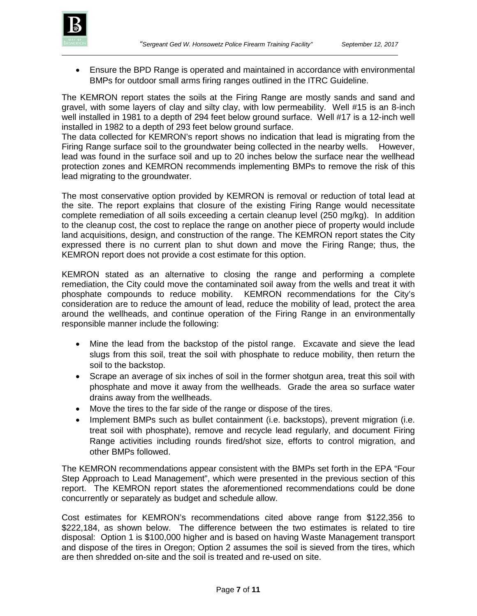

• Ensure the BPD Range is operated and maintained in accordance with environmental BMPs for outdoor small arms firing ranges outlined in the ITRC Guideline.

The KEMRON report states the soils at the Firing Range are mostly sands and sand and gravel, with some layers of clay and silty clay, with low permeability. Well #15 is an 8-inch well installed in 1981 to a depth of 294 feet below ground surface. Well #17 is a 12-inch well installed in 1982 to a depth of 293 feet below ground surface.

The data collected for KEMRON's report shows no indication that lead is migrating from the Firing Range surface soil to the groundwater being collected in the nearby wells. However, lead was found in the surface soil and up to 20 inches below the surface near the wellhead protection zones and KEMRON recommends implementing BMPs to remove the risk of this lead migrating to the groundwater.

The most conservative option provided by KEMRON is removal or reduction of total lead at the site. The report explains that closure of the existing Firing Range would necessitate complete remediation of all soils exceeding a certain cleanup level (250 mg/kg). In addition to the cleanup cost, the cost to replace the range on another piece of property would include land acquisitions, design, and construction of the range. The KEMRON report states the City expressed there is no current plan to shut down and move the Firing Range; thus, the KEMRON report does not provide a cost estimate for this option.

KEMRON stated as an alternative to closing the range and performing a complete remediation, the City could move the contaminated soil away from the wells and treat it with phosphate compounds to reduce mobility. KEMRON recommendations for the City's consideration are to reduce the amount of lead, reduce the mobility of lead, protect the area around the wellheads, and continue operation of the Firing Range in an environmentally responsible manner include the following:

- Mine the lead from the backstop of the pistol range. Excavate and sieve the lead slugs from this soil, treat the soil with phosphate to reduce mobility, then return the soil to the backstop.
- Scrape an average of six inches of soil in the former shotgun area, treat this soil with phosphate and move it away from the wellheads. Grade the area so surface water drains away from the wellheads.
- Move the tires to the far side of the range or dispose of the tires.
- Implement BMPs such as bullet containment (i.e. backstops), prevent migration (i.e. treat soil with phosphate), remove and recycle lead regularly, and document Firing Range activities including rounds fired/shot size, efforts to control migration, and other BMPs followed.

The KEMRON recommendations appear consistent with the BMPs set forth in the EPA "Four Step Approach to Lead Management", which were presented in the previous section of this report. The KEMRON report states the aforementioned recommendations could be done concurrently or separately as budget and schedule allow.

Cost estimates for KEMRON's recommendations cited above range from \$122,356 to \$222,184, as shown below. The difference between the two estimates is related to tire disposal: Option 1 is \$100,000 higher and is based on having Waste Management transport and dispose of the tires in Oregon; Option 2 assumes the soil is sieved from the tires, which are then shredded on-site and the soil is treated and re-used on site.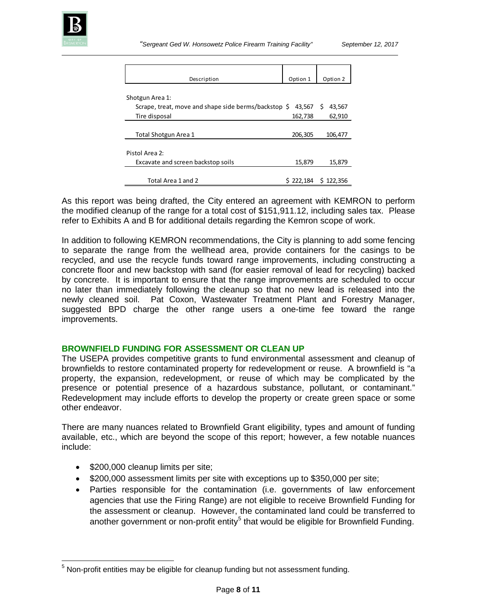

| Description                                          | Option 1  | Option 2    |
|------------------------------------------------------|-----------|-------------|
| Shotgun Area 1:                                      |           |             |
| Scrape, treat, move and shape side berms/backstop \$ | 43.567    | S<br>43,567 |
| Tire disposal                                        | 162,738   | 62,910      |
|                                                      |           |             |
| Total Shotgun Area 1                                 | 206,305   | 106,477     |
| Pistol Area 2:                                       |           |             |
| Excavate and screen backstop soils                   | 15,879    | 15,879      |
| Total Area 1 and 2                                   | \$222,184 | S 122.356   |

As this report was being drafted, the City entered an agreement with KEMRON to perform the modified cleanup of the range for a total cost of \$151,911.12, including sales tax. Please refer to Exhibits A and B for additional details regarding the Kemron scope of work.

In addition to following KEMRON recommendations, the City is planning to add some fencing to separate the range from the wellhead area, provide containers for the casings to be recycled, and use the recycle funds toward range improvements, including constructing a concrete floor and new backstop with sand (for easier removal of lead for recycling) backed by concrete. It is important to ensure that the range improvements are scheduled to occur no later than immediately following the cleanup so that no new lead is released into the newly cleaned soil. Pat Coxon, Wastewater Treatment Plant and Forestry Manager, suggested BPD charge the other range users a one-time fee toward the range improvements.

## **BROWNFIELD FUNDING FOR ASSESSMENT OR CLEAN UP**

The USEPA provides competitive grants to fund environmental assessment and cleanup of brownfields to restore contaminated property for redevelopment or reuse. A brownfield is "a property, the expansion, redevelopment, or reuse of which may be complicated by the presence or potential presence of a hazardous substance, pollutant, or contaminant." Redevelopment may include efforts to develop the property or create green space or some other endeavor.

There are many nuances related to Brownfield Grant eligibility, types and amount of funding available, etc., which are beyond the scope of this report; however, a few notable nuances include:

- \$200,000 cleanup limits per site;
- \$200,000 assessment limits per site with exceptions up to \$350,000 per site;
- Parties responsible for the contamination (i.e. governments of law enforcement agencies that use the Firing Range) are not eligible to receive Brownfield Funding for the assessment or cleanup. However, the contaminated land could be transferred to another government or non-profit entity<sup>[5](#page-7-0)</sup> that would be eligible for Brownfield Funding.

<span id="page-7-0"></span> $5$  Non-profit entities may be eligible for cleanup funding but not assessment funding.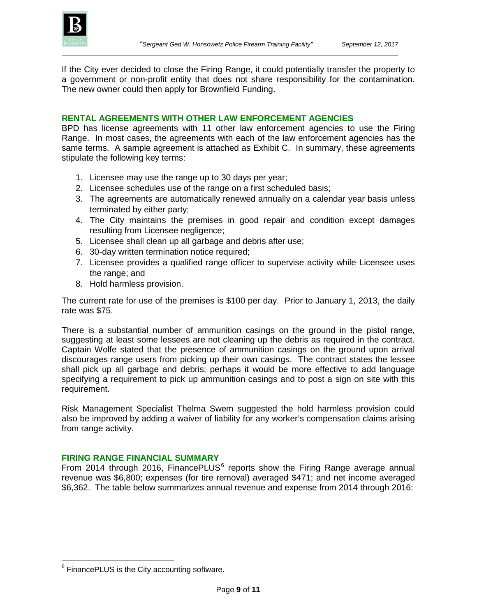If the City ever decided to close the Firing Range, it could potentially transfer the property to a government or non-profit entity that does not share responsibility for the contamination. The new owner could then apply for Brownfield Funding.

### **RENTAL AGREEMENTS WITH OTHER LAW ENFORCEMENT AGENCIES**

BPD has license agreements with 11 other law enforcement agencies to use the Firing Range. In most cases, the agreements with each of the law enforcement agencies has the same terms. A sample agreement is attached as Exhibit C. In summary, these agreements stipulate the following key terms:

- 1. Licensee may use the range up to 30 days per year;
- 2. Licensee schedules use of the range on a first scheduled basis;
- 3. The agreements are automatically renewed annually on a calendar year basis unless terminated by either party;
- 4. The City maintains the premises in good repair and condition except damages resulting from Licensee negligence;
- 5. Licensee shall clean up all garbage and debris after use;
- 6. 30-day written termination notice required;
- 7. Licensee provides a qualified range officer to supervise activity while Licensee uses the range; and
- 8. Hold harmless provision.

The current rate for use of the premises is \$100 per day. Prior to January 1, 2013, the daily rate was \$75.

There is a substantial number of ammunition casings on the ground in the pistol range, suggesting at least some lessees are not cleaning up the debris as required in the contract. Captain Wolfe stated that the presence of ammunition casings on the ground upon arrival discourages range users from picking up their own casings. The contract states the lessee shall pick up all garbage and debris; perhaps it would be more effective to add language specifying a requirement to pick up ammunition casings and to post a sign on site with this requirement.

Risk Management Specialist Thelma Swem suggested the hold harmless provision could also be improved by adding a waiver of liability for any worker's compensation claims arising from range activity.

## **FIRING RANGE FINANCIAL SUMMARY**

From 2014 through 201[6](#page-8-0), FinancePLUS $<sup>6</sup>$  reports show the Firing Range average annual</sup> revenue was \$6,800; expenses (for tire removal) averaged \$471; and net income averaged \$6,362. The table below summarizes annual revenue and expense from 2014 through 2016:

<span id="page-8-0"></span><sup>&</sup>lt;sup>6</sup> FinancePLUS is the City accounting software.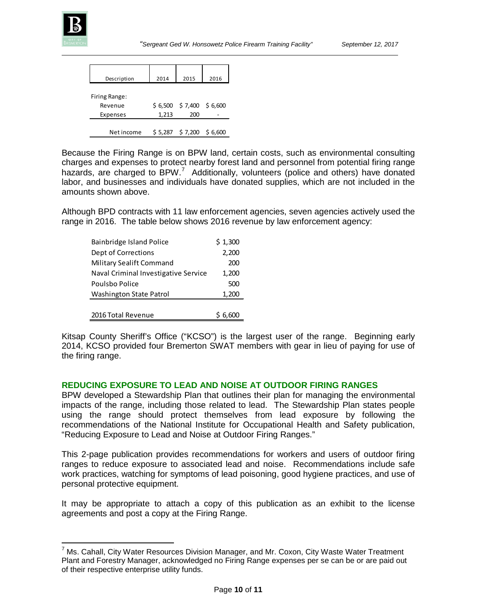

| Description   | 2014  | 2015                       | 2016 |
|---------------|-------|----------------------------|------|
| Firing Range: |       |                            |      |
| Revenue       |       | $$6,500 \$7,400 \$6,600$   |      |
| Expenses      | 1,213 | 200                        |      |
| Net income    |       | $$5,287$ $$7,200$ $$6,600$ |      |

Because the Firing Range is on BPW land, certain costs, such as environmental consulting charges and expenses to protect nearby forest land and personnel from potential firing range hazards, are charged to BPW.<sup>[7](#page-9-0)</sup> Additionally, volunteers (police and others) have donated labor, and businesses and individuals have donated supplies, which are not included in the amounts shown above.

Although BPD contracts with 11 law enforcement agencies, seven agencies actively used the range in 2016. The table below shows 2016 revenue by law enforcement agency:

| Bainbridge Island Police             | \$1,300 |
|--------------------------------------|---------|
| Dept of Corrections                  | 2,200   |
| Military Sealift Command             | 200     |
| Naval Criminal Investigative Service | 1,200   |
| Poulsbo Police                       | 500     |
| <b>Washington State Patrol</b>       | 1,200   |
|                                      |         |
| 2016 Total Revenue                   | \$6,600 |

Kitsap County Sheriff's Office ("KCSO") is the largest user of the range. Beginning early 2014, KCSO provided four Bremerton SWAT members with gear in lieu of paying for use of the firing range.

## **REDUCING EXPOSURE TO LEAD AND NOISE AT OUTDOOR FIRING RANGES**

BPW developed a Stewardship Plan that outlines their plan for managing the environmental impacts of the range, including those related to lead. The Stewardship Plan states people using the range should protect themselves from lead exposure by following the recommendations of the National Institute for Occupational Health and Safety publication, "Reducing Exposure to Lead and Noise at Outdoor Firing Ranges."

This 2-page publication provides recommendations for workers and users of outdoor firing ranges to reduce exposure to associated lead and noise. Recommendations include safe work practices, watching for symptoms of lead poisoning, good hygiene practices, and use of personal protective equipment.

It may be appropriate to attach a copy of this publication as an exhibit to the license agreements and post a copy at the Firing Range.

<span id="page-9-0"></span> $<sup>7</sup>$  Ms. Cahall, City Water Resources Division Manager, and Mr. Coxon, City Waste Water Treatment</sup> Plant and Forestry Manager, acknowledged no Firing Range expenses per se can be or are paid out of their respective enterprise utility funds.